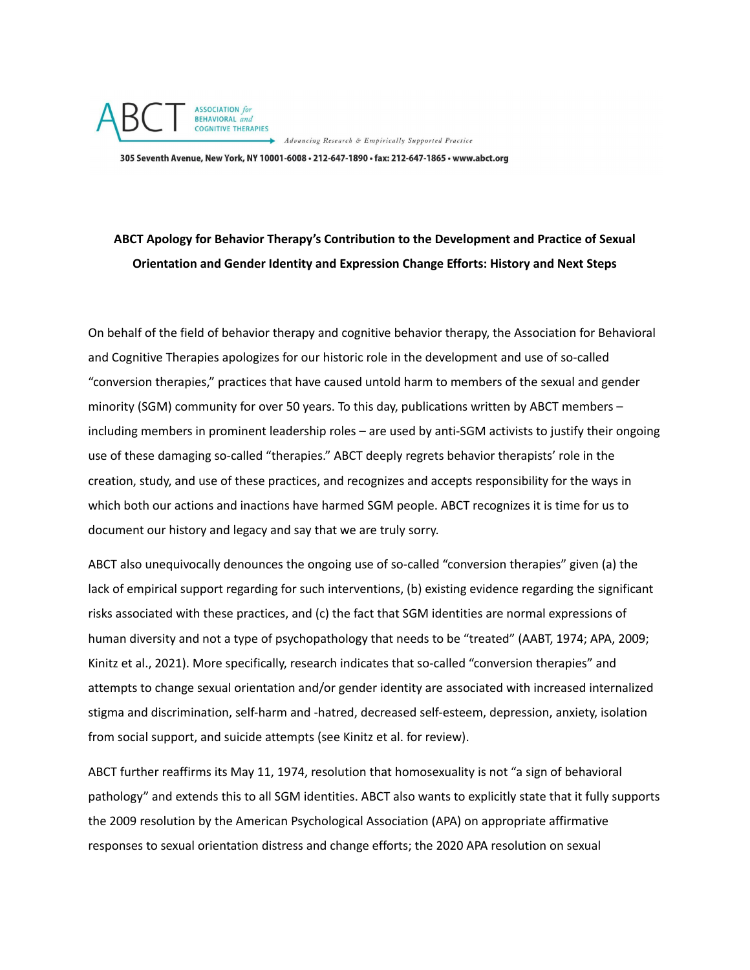

305 Seventh Avenue, New York, NY 10001-6008 · 212-647-1890 · fax: 212-647-1865 · www.abct.org

## **ABCT Apology for Behavior Therapy's Contribution to the Development and Practice of Sexual Orientation and Gender Identity and Expression Change Efforts: History and Next Steps**

On behalf of the field of behavior therapy and cognitive behavior therapy, the Association for Behavioral and Cognitive Therapies apologizes for our historic role in the development and use of so-called "conversion therapies," practices that have caused untold harm to members of the sexual and gender minority (SGM) community for over 50 years. To this day, publications written by ABCT members – including members in prominent leadership roles – are used by anti-SGM activists to justify their ongoing use of these damaging so-called "therapies." ABCT deeply regrets behavior therapists' role in the creation, study, and use of these practices, and recognizes and accepts responsibility for the ways in which both our actions and inactions have harmed SGM people. ABCT recognizes it is time for us to document our history and legacy and say that we are truly sorry.

ABCT also unequivocally denounces the ongoing use of so-called "conversion therapies" given (a) the lack of empirical support regarding for such interventions, (b) existing evidence regarding the significant risks associated with these practices, and (c) the fact that SGM identities are normal expressions of human diversity and not a type of psychopathology that needs to be "treated" (AABT, 1974; APA, 2009; Kinitz et al., 2021). More specifically, research indicates that so-called "conversion therapies" and attempts to change sexual orientation and/or gender identity are associated with increased internalized stigma and discrimination, self-harm and -hatred, decreased self-esteem, depression, anxiety, isolation from social support, and suicide attempts (see Kinitz et al. for review).

ABCT further reaffirms its May 11, 1974, resolution that homosexuality is not "a sign of behavioral pathology" and extends this to all SGM identities. ABCT also wants to explicitly state that it fully supports the 2009 resolution by the American Psychological Association (APA) on appropriate affirmative responses to sexual orientation distress and change efforts; the 2020 APA resolution on sexual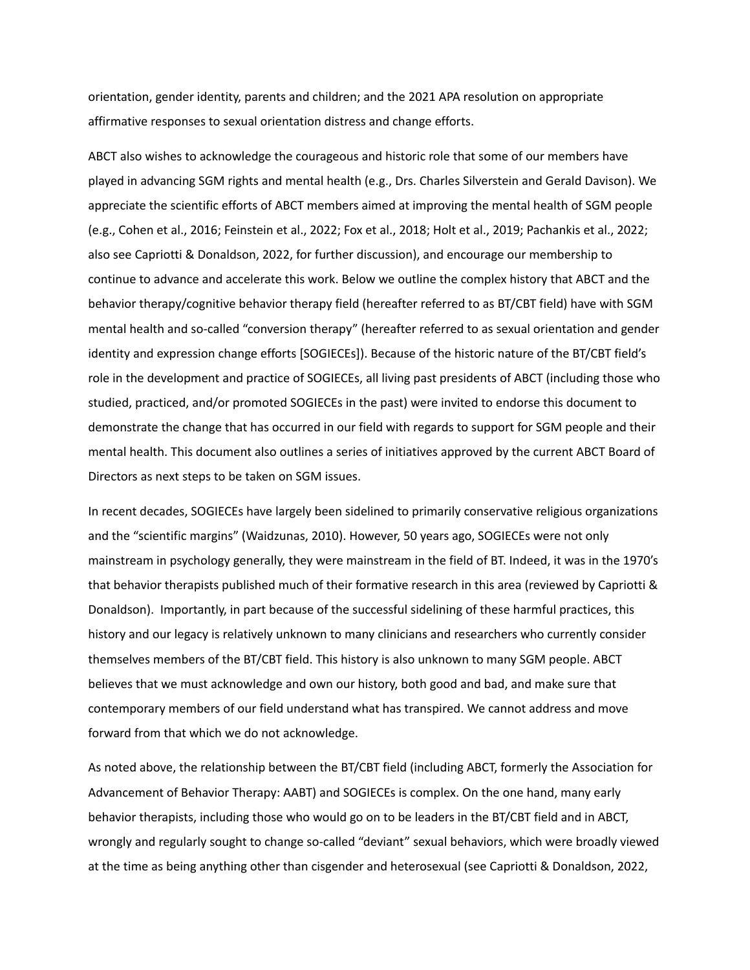orientation, gender identity, parents and children; and the 2021 APA resolution on appropriate affirmative responses to sexual orientation distress and change efforts.

ABCT also wishes to acknowledge the courageous and historic role that some of our members have played in advancing SGM rights and mental health (e.g., Drs. Charles Silverstein and Gerald Davison). We appreciate the scientific efforts of ABCT members aimed at improving the mental health of SGM people (e.g., Cohen et al., 2016; Feinstein et al., 2022; Fox et al., 2018; Holt et al., 2019; Pachankis et al., 2022; also see Capriotti & Donaldson, 2022, for further discussion), and encourage our membership to continue to advance and accelerate this work. Below we outline the complex history that ABCT and the behavior therapy/cognitive behavior therapy field (hereafter referred to as BT/CBT field) have with SGM mental health and so-called "conversion therapy" (hereafter referred to as sexual orientation and gender identity and expression change efforts [SOGIECEs]). Because of the historic nature of the BT/CBT field's role in the development and practice of SOGIECEs, all living past presidents of ABCT (including those who studied, practiced, and/or promoted SOGIECEs in the past) were invited to endorse this document to demonstrate the change that has occurred in our field with regards to support for SGM people and their mental health. This document also outlines a series of initiatives approved by the current ABCT Board of Directors as next steps to be taken on SGM issues.

In recent decades, SOGIECEs have largely been sidelined to primarily conservative religious organizations and the "scientific margins" (Waidzunas, 2010). However, 50 years ago, SOGIECEs were not only mainstream in psychology generally, they were mainstream in the field of BT. Indeed, it was in the 1970's that behavior therapists published much of their formative research in this area (reviewed by Capriotti & Donaldson). Importantly, in part because of the successful sidelining of these harmful practices, this history and our legacy is relatively unknown to many clinicians and researchers who currently consider themselves members of the BT/CBT field. This history is also unknown to many SGM people. ABCT believes that we must acknowledge and own our history, both good and bad, and make sure that contemporary members of our field understand what has transpired. We cannot address and move forward from that which we do not acknowledge.

As noted above, the relationship between the BT/CBT field (including ABCT, formerly the Association for Advancement of Behavior Therapy: AABT) and SOGIECEs is complex. On the one hand, many early behavior therapists, including those who would go on to be leaders in the BT/CBT field and in ABCT, wrongly and regularly sought to change so-called "deviant" sexual behaviors, which were broadly viewed at the time as being anything other than cisgender and heterosexual (see Capriotti & Donaldson, 2022,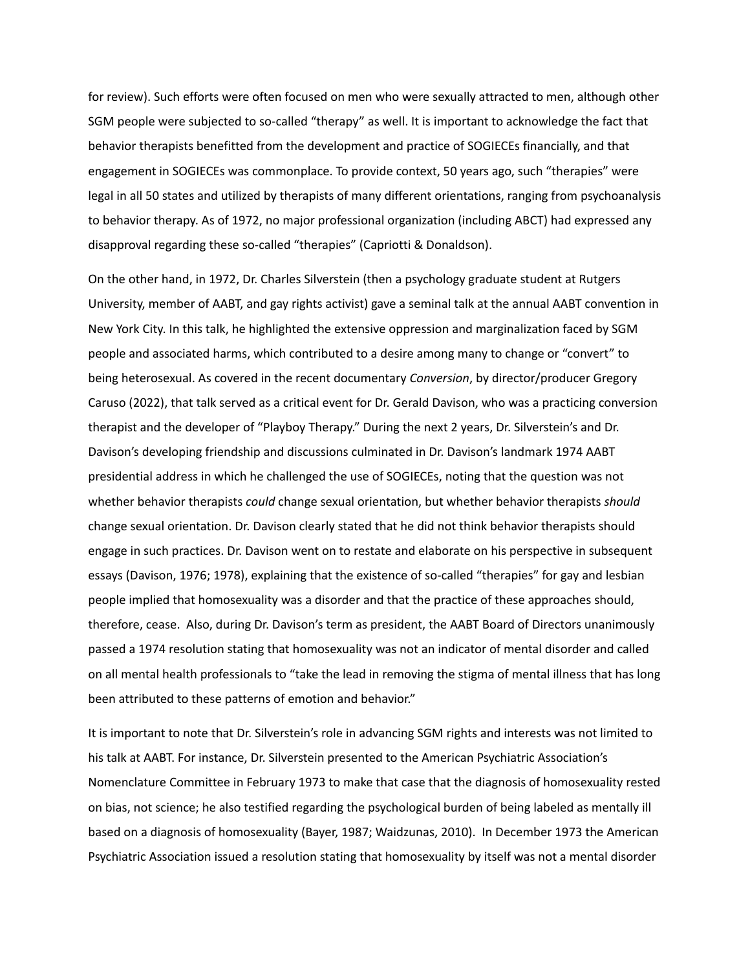for review). Such efforts were often focused on men who were sexually attracted to men, although other SGM people were subjected to so-called "therapy" as well. It is important to acknowledge the fact that behavior therapists benefitted from the development and practice of SOGIECEs financially, and that engagement in SOGIECEs was commonplace. To provide context, 50 years ago, such "therapies" were legal in all 50 states and utilized by therapists of many different orientations, ranging from psychoanalysis to behavior therapy. As of 1972, no major professional organization (including ABCT) had expressed any disapproval regarding these so-called "therapies" (Capriotti & Donaldson).

On the other hand, in 1972, Dr. Charles Silverstein (then a psychology graduate student at Rutgers University, member of AABT, and gay rights activist) gave a seminal talk at the annual AABT convention in New York City. In this talk, he highlighted the extensive oppression and marginalization faced by SGM people and associated harms, which contributed to a desire among many to change or "convert" to being heterosexual. As covered in the recent documentary *Conversion*, by director/producer Gregory Caruso (2022), that talk served as a critical event for Dr. Gerald Davison, who was a practicing conversion therapist and the developer of "Playboy Therapy." During the next 2 years, Dr. Silverstein's and Dr. Davison's developing friendship and discussions culminated in Dr. Davison's landmark 1974 AABT presidential address in which he challenged the use of SOGIECEs, noting that the question was not whether behavior therapists *could* change sexual orientation, but whether behavior therapists *should* change sexual orientation. Dr. Davison clearly stated that he did not think behavior therapists should engage in such practices. Dr. Davison went on to restate and elaborate on his perspective in subsequent essays (Davison, 1976; 1978), explaining that the existence of so-called "therapies" for gay and lesbian people implied that homosexuality was a disorder and that the practice of these approaches should, therefore, cease. Also, during Dr. Davison's term as president, the AABT Board of Directors unanimously passed a 1974 resolution stating that homosexuality was not an indicator of mental disorder and called on all mental health professionals to "take the lead in removing the stigma of mental illness that has long been attributed to these patterns of emotion and behavior."

It is important to note that Dr. Silverstein's role in advancing SGM rights and interests was not limited to his talk at AABT. For instance, Dr. Silverstein presented to the American Psychiatric Association's Nomenclature Committee in February 1973 to make that case that the diagnosis of homosexuality rested on bias, not science; he also testified regarding the psychological burden of being labeled as mentally ill based on a diagnosis of homosexuality (Bayer, 1987; Waidzunas, 2010). In December 1973 the American Psychiatric Association issued a resolution stating that homosexuality by itself was not a mental disorder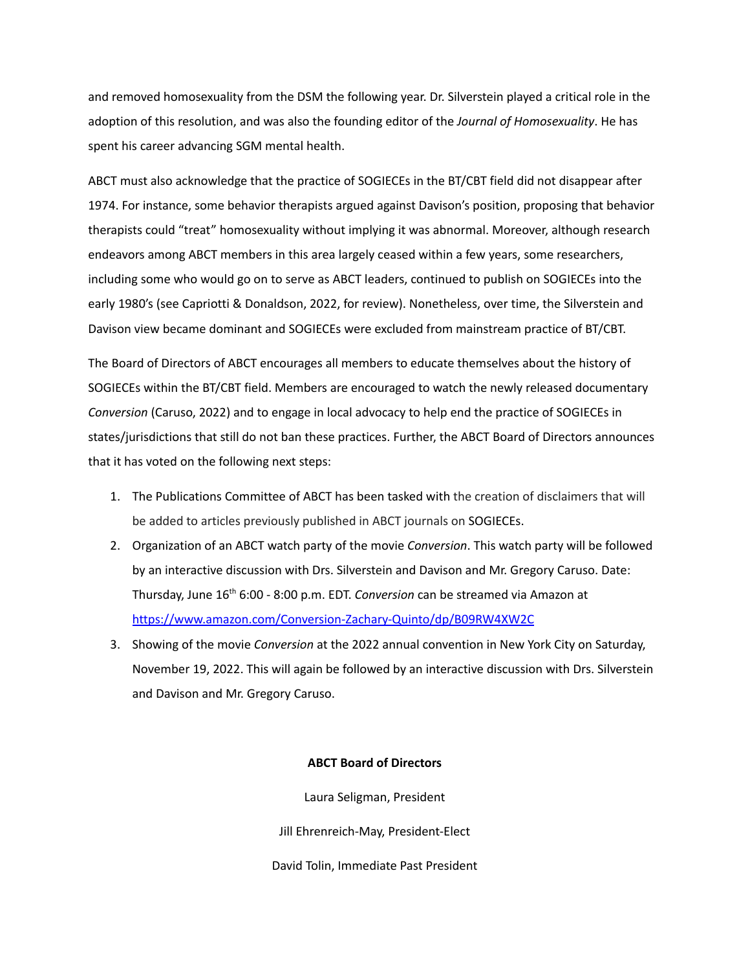and removed homosexuality from the DSM the following year. Dr. Silverstein played a critical role in the adoption of this resolution, and was also the founding editor of the *Journal of Homosexuality*. He has spent his career advancing SGM mental health.

ABCT must also acknowledge that the practice of SOGIECEs in the BT/CBT field did not disappear after 1974. For instance, some behavior therapists argued against Davison's position, proposing that behavior therapists could "treat" homosexuality without implying it was abnormal. Moreover, although research endeavors among ABCT members in this area largely ceased within a few years, some researchers, including some who would go on to serve as ABCT leaders, continued to publish on SOGIECEs into the early 1980's (see Capriotti & Donaldson, 2022, for review). Nonetheless, over time, the Silverstein and Davison view became dominant and SOGIECEs were excluded from mainstream practice of BT/CBT.

The Board of Directors of ABCT encourages all members to educate themselves about the history of SOGIECEs within the BT/CBT field. Members are encouraged to watch the newly released documentary *Conversion* (Caruso, 2022) and to engage in local advocacy to help end the practice of SOGIECEs in states/jurisdictions that still do not ban these practices. Further, the ABCT Board of Directors announces that it has voted on the following next steps:

- 1. The Publications Committee of ABCT has been tasked with the creation of disclaimers that will be added to articles previously published in ABCT journals on SOGIECEs.
- 2. Organization of an ABCT watch party of the movie *Conversion*. This watch party will be followed by an interactive discussion with Drs. Silverstein and Davison and Mr. Gregory Caruso. Date: Thursday, June 16 th 6:00 - 8:00 p.m. EDT. *Conversion* can be streamed via Amazon at <https://www.amazon.com/Conversion-Zachary-Quinto/dp/B09RW4XW2C>
- 3. Showing of the movie *Conversion* at the 2022 annual convention in New York City on Saturday, November 19, 2022. This will again be followed by an interactive discussion with Drs. Silverstein and Davison and Mr. Gregory Caruso.

## **ABCT Board of Directors**

Laura Seligman, President

Jill Ehrenreich-May, President-Elect

David Tolin, Immediate Past President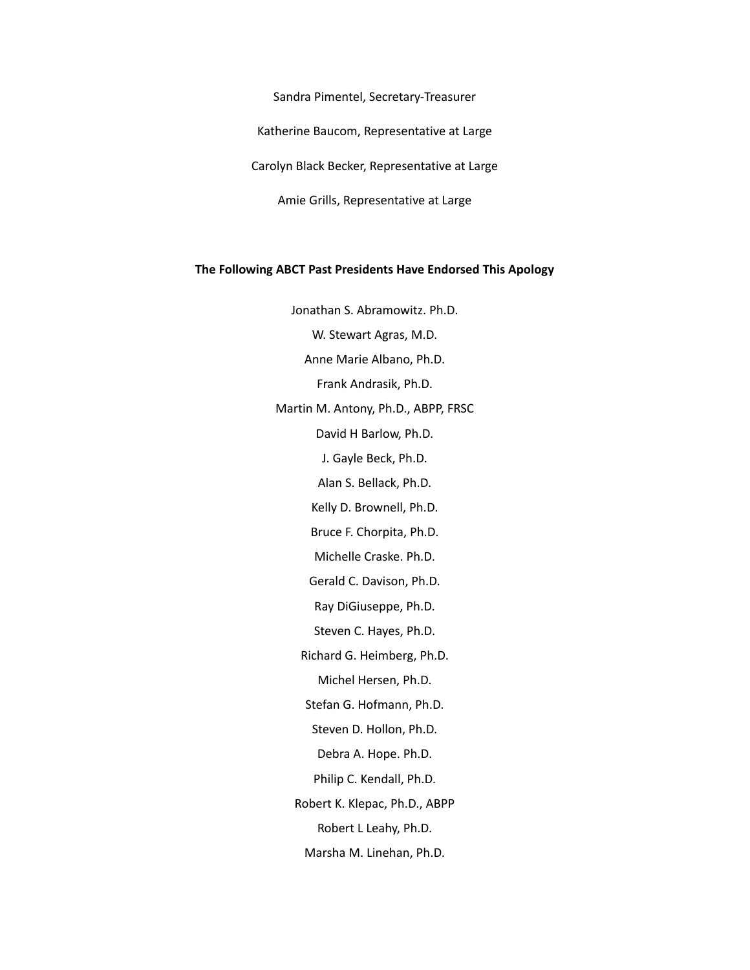Sandra Pimentel, Secretary-Treasurer

Katherine Baucom, Representative at Large

Carolyn Black Becker, Representative at Large

Amie Grills, Representative at Large

## **The Following ABCT Past Presidents Have Endorsed This Apology**

Jonathan S. Abramowitz. Ph.D. W. Stewart Agras, M.D. Anne Marie Albano, Ph.D. Frank Andrasik, Ph.D. Martin M. Antony, Ph.D., ABPP, FRSC David H Barlow, Ph.D. J. Gayle Beck, Ph.D. Alan S. Bellack, Ph.D. Kelly D. Brownell, Ph.D. Bruce F. Chorpita, Ph.D. Michelle Craske. Ph.D. Gerald C. Davison, Ph.D. Ray DiGiuseppe, Ph.D. Steven C. Hayes, Ph.D. Richard G. Heimberg, Ph.D. Michel Hersen, Ph.D. Stefan G. Hofmann, Ph.D. Steven D. Hollon, Ph.D. Debra A. Hope. Ph.D. Philip C. Kendall, Ph.D. Robert K. Klepac, Ph.D., ABPP Robert L Leahy, Ph.D. Marsha M. Linehan, Ph.D.